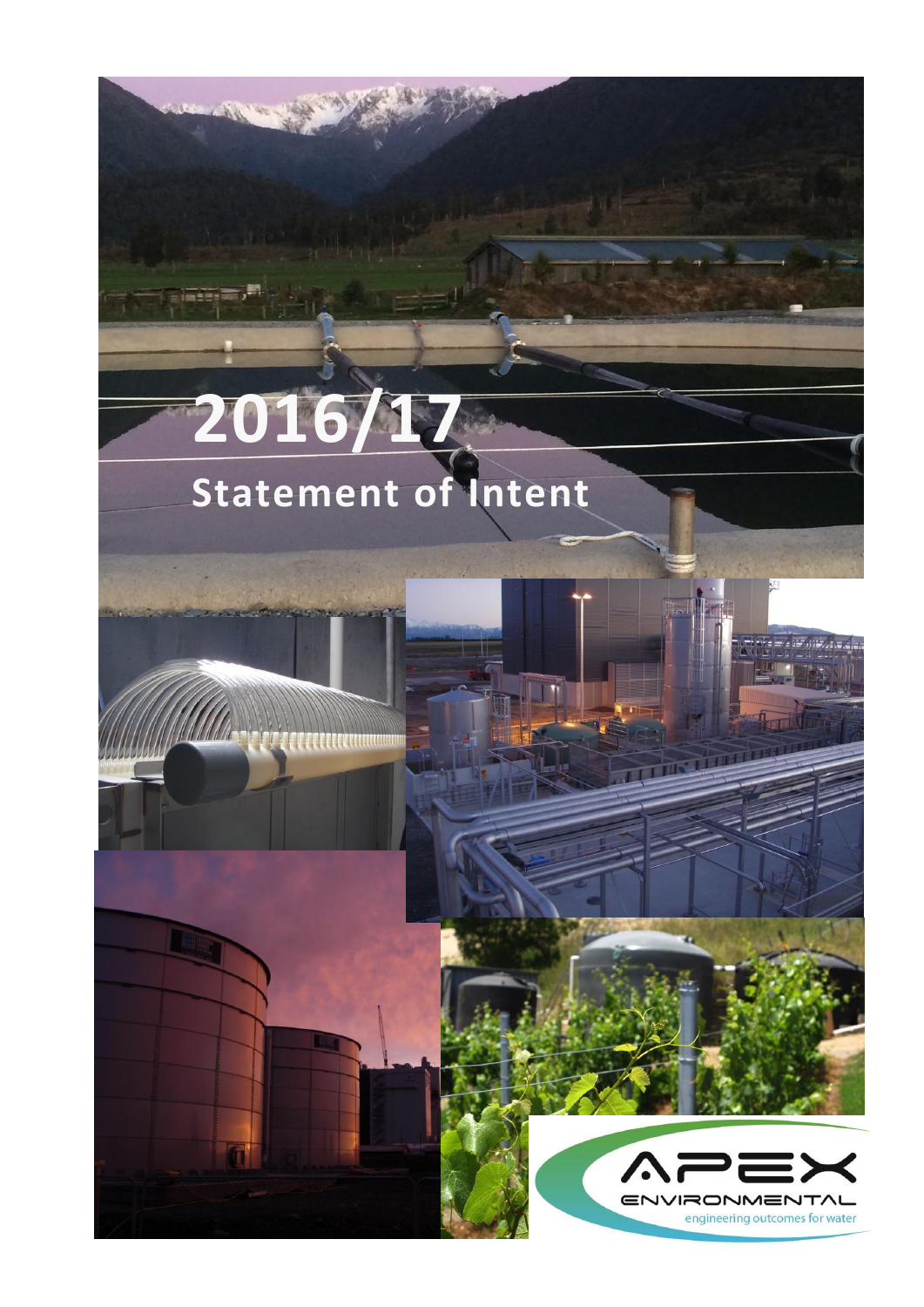# **2016/17 Statement of Intent**

 $\mathbb{T}^n$ 







ka laya astronomi

**Horn Mill**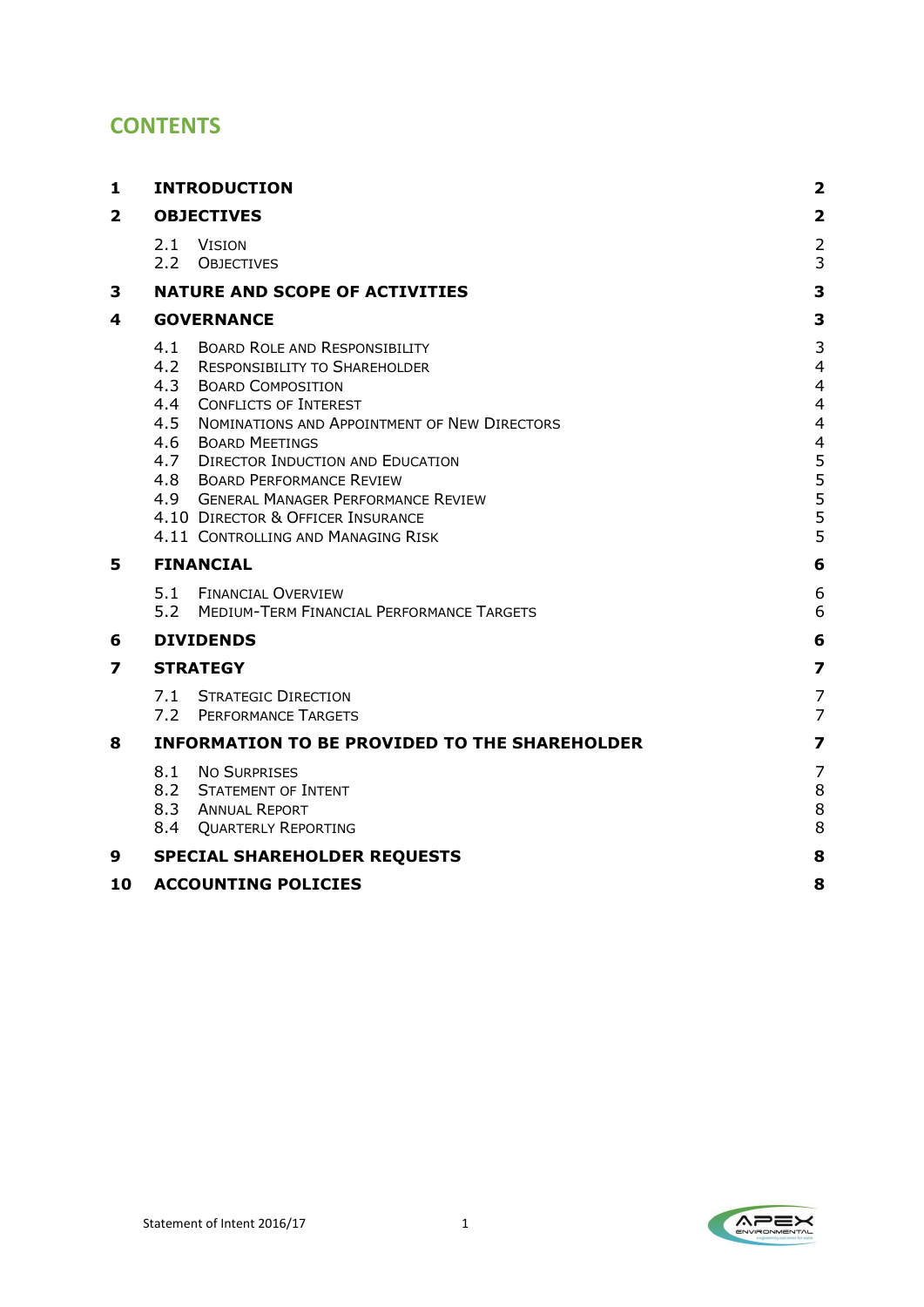# **CONTENTS**

| 1                       | <b>INTRODUCTION</b>                                                                                                                                                                                                                                                                                                                                                                                                                                      | 2                                                   |  |
|-------------------------|----------------------------------------------------------------------------------------------------------------------------------------------------------------------------------------------------------------------------------------------------------------------------------------------------------------------------------------------------------------------------------------------------------------------------------------------------------|-----------------------------------------------------|--|
| $\overline{\mathbf{2}}$ | <b>OBJECTIVES</b>                                                                                                                                                                                                                                                                                                                                                                                                                                        |                                                     |  |
|                         | 2.1<br>Vision<br>2.2 OBJECTIVES                                                                                                                                                                                                                                                                                                                                                                                                                          | $\overline{\mathbf{c}}$<br>3                        |  |
| 3                       | <b>NATURE AND SCOPE OF ACTIVITIES</b>                                                                                                                                                                                                                                                                                                                                                                                                                    | 3                                                   |  |
| 4                       | <b>GOVERNANCE</b>                                                                                                                                                                                                                                                                                                                                                                                                                                        |                                                     |  |
|                         | 4.1<br><b>BOARD ROLE AND RESPONSIBILITY</b><br>4.2<br><b>RESPONSIBILITY TO SHAREHOLDER</b><br>4.3<br><b>BOARD COMPOSITION</b><br>4.4<br><b>CONFLICTS OF INTEREST</b><br>4.5<br>NOMINATIONS AND APPOINTMENT OF NEW DIRECTORS<br>4.6<br><b>BOARD MEETINGS</b><br>4.7 DIRECTOR INDUCTION AND EDUCATION<br>4.8 BOARD PERFORMANCE REVIEW<br>4.9 GENERAL MANAGER PERFORMANCE REVIEW<br>4.10 DIRECTOR & OFFICER INSURANCE<br>4.11 CONTROLLING AND MANAGING RISK | 3<br>4<br>4<br>4<br>4<br>4<br>5<br>5<br>5<br>5<br>5 |  |
| 5                       | <b>FINANCIAL</b>                                                                                                                                                                                                                                                                                                                                                                                                                                         |                                                     |  |
|                         | 5.1<br><b>FINANCIAL OVERVIEW</b><br>5.2<br>MEDIUM-TERM FINANCIAL PERFORMANCE TARGETS                                                                                                                                                                                                                                                                                                                                                                     | 6<br>6                                              |  |
| 6                       | <b>DIVIDENDS</b>                                                                                                                                                                                                                                                                                                                                                                                                                                         | 6                                                   |  |
| 7                       | <b>STRATEGY</b>                                                                                                                                                                                                                                                                                                                                                                                                                                          |                                                     |  |
|                         | 7.1<br><b>STRATEGIC DIRECTION</b><br>7.2 PERFORMANCE TARGETS                                                                                                                                                                                                                                                                                                                                                                                             | 7<br>7                                              |  |
| 8                       | <b>INFORMATION TO BE PROVIDED TO THE SHAREHOLDER</b>                                                                                                                                                                                                                                                                                                                                                                                                     |                                                     |  |
|                         | 8.1<br><b>NO SURPRISES</b><br>8.2 STATEMENT OF INTENT<br>8.3 ANNUAL REPORT<br>8.4<br><b>QUARTERLY REPORTING</b>                                                                                                                                                                                                                                                                                                                                          | 7<br>8<br>8<br>8                                    |  |
| 9                       | <b>SPECIAL SHAREHOLDER REQUESTS</b>                                                                                                                                                                                                                                                                                                                                                                                                                      | 8                                                   |  |
| 10                      | <b>ACCOUNTING POLICIES</b>                                                                                                                                                                                                                                                                                                                                                                                                                               | 8                                                   |  |

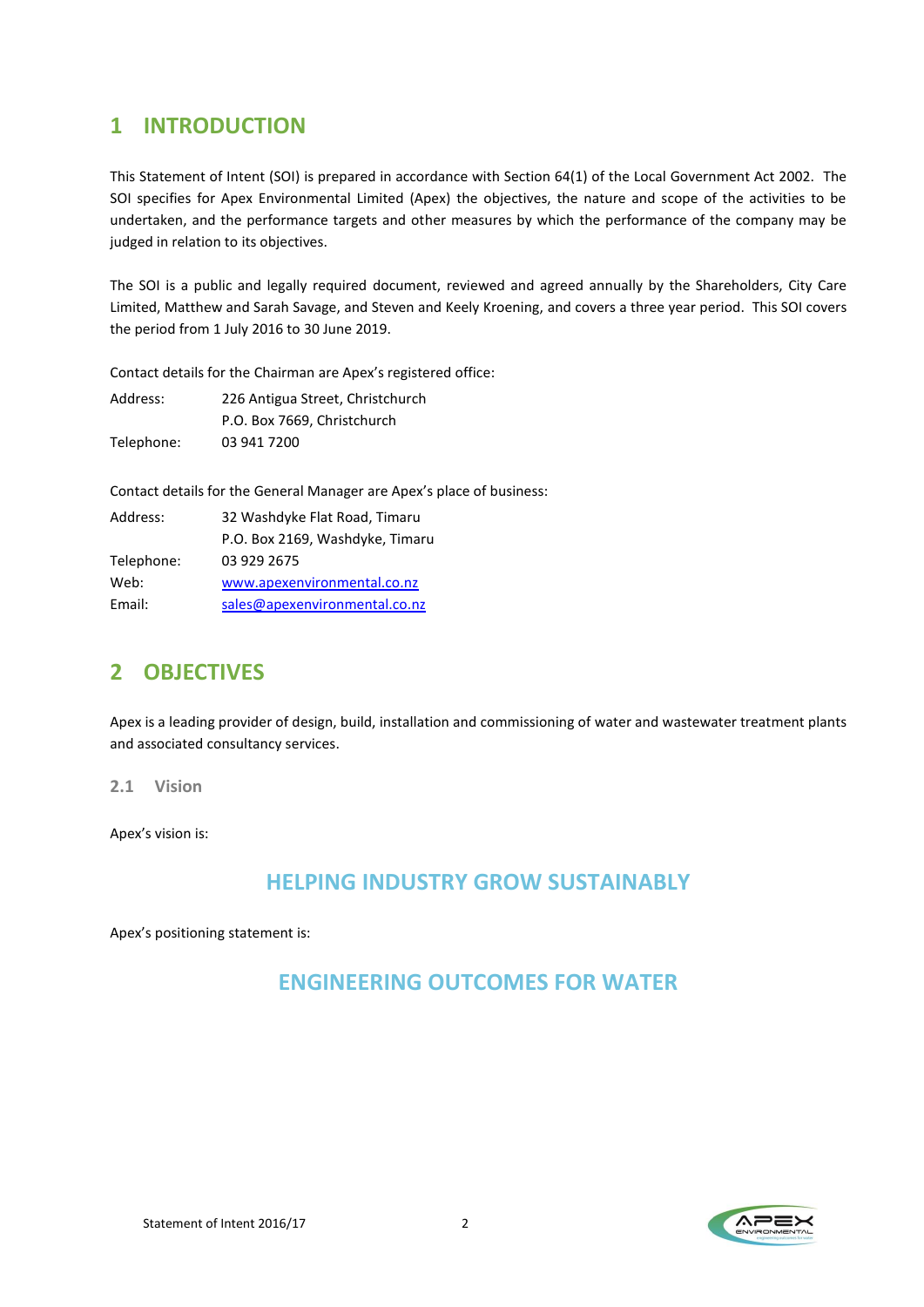## <span id="page-2-0"></span>**1 INTRODUCTION**

This Statement of Intent (SOI) is prepared in accordance with Section 64(1) of the Local Government Act 2002. The SOI specifies for Apex Environmental Limited (Apex) the objectives, the nature and scope of the activities to be undertaken, and the performance targets and other measures by which the performance of the company may be judged in relation to its objectives.

The SOI is a public and legally required document, reviewed and agreed annually by the Shareholders, City Care Limited, Matthew and Sarah Savage, and Steven and Keely Kroening, and covers a three year period. This SOI covers the period from 1 July 2016 to 30 June 2019.

Contact details for the Chairman are Apex's registered office:

| Address:   | 226 Antigua Street, Christchurch |  |
|------------|----------------------------------|--|
|            | P.O. Box 7669, Christchurch      |  |
| Telephone: | 03 941 7200                      |  |

Contact details for the General Manager are Apex's place of business:

| Address:   | 32 Washdyke Flat Road, Timaru   |  |
|------------|---------------------------------|--|
|            | P.O. Box 2169, Washdyke, Timaru |  |
| Telephone: | 03 929 2675                     |  |
| Web:       | www.apexenvironmental.co.nz     |  |
| Email:     | sales@apexenvironmental.co.nz   |  |

## <span id="page-2-1"></span>**2 OBJECTIVES**

Apex is a leading provider of design, build, installation and commissioning of water and wastewater treatment plants and associated consultancy services.

<span id="page-2-2"></span>**2.1 Vision**

Apex's vision is:

## **HELPING INDUSTRY GROW SUSTAINABLY**

Apex's positioning statement is:

## **ENGINEERING OUTCOMES FOR WATER**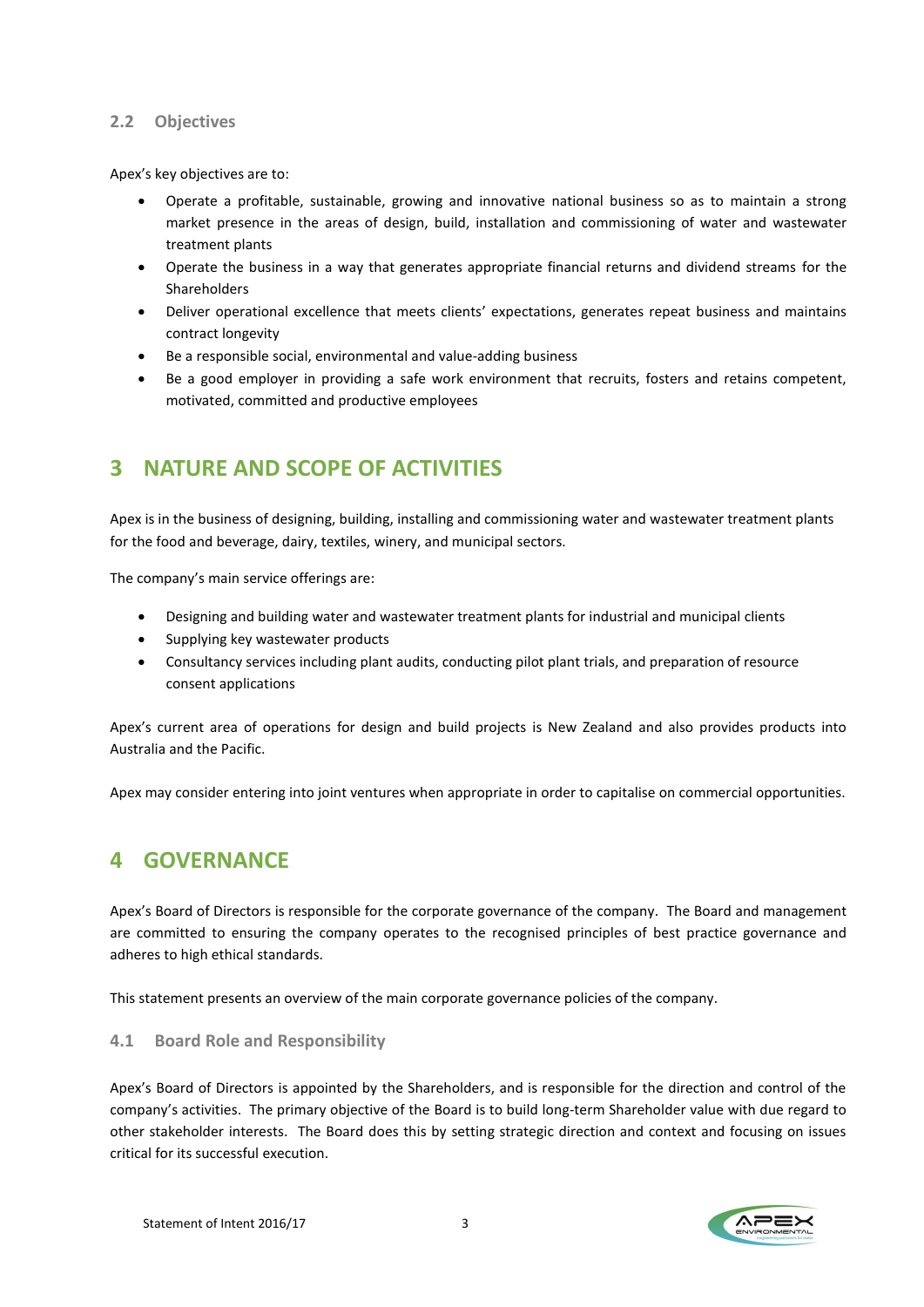#### <span id="page-3-0"></span>**2.2 Objectives**

Apex's key objectives are to:

- Operate a profitable, sustainable, growing and innovative national business so as to maintain a strong market presence in the areas of design, build, installation and commissioning of water and wastewater treatment plants
- Operate the business in a way that generates appropriate financial returns and dividend streams for the Shareholders
- Deliver operational excellence that meets clients' expectations, generates repeat business and maintains contract longevity
- Be a responsible social, environmental and value-adding business
- Be a good employer in providing a safe work environment that recruits, fosters and retains competent, motivated, committed and productive employees

## <span id="page-3-1"></span>**3 NATURE AND SCOPE OF ACTIVITIES**

Apex is in the business of designing, building, installing and commissioning water and wastewater treatment plants for the food and beverage, dairy, textiles, winery, and municipal sectors.

The company's main service offerings are:

- Designing and building water and wastewater treatment plants for industrial and municipal clients
- Supplying key wastewater products
- Consultancy services including plant audits, conducting pilot plant trials, and preparation of resource consent applications

Apex's current area of operations for design and build projects is New Zealand and also provides products into Australia and the Pacific.

Apex may consider entering into joint ventures when appropriate in order to capitalise on commercial opportunities.

## <span id="page-3-2"></span>**4 GOVERNANCE**

Apex's Board of Directors is responsible for the corporate governance of the company. The Board and management are committed to ensuring the company operates to the recognised principles of best practice governance and adheres to high ethical standards.

This statement presents an overview of the main corporate governance policies of the company.

#### <span id="page-3-3"></span>**4.1 Board Role and Responsibility**

Apex's Board of Directors is appointed by the Shareholders, and is responsible for the direction and control of the company's activities. The primary objective of the Board is to build long-term Shareholder value with due regard to other stakeholder interests. The Board does this by setting strategic direction and context and focusing on issues critical for its successful execution.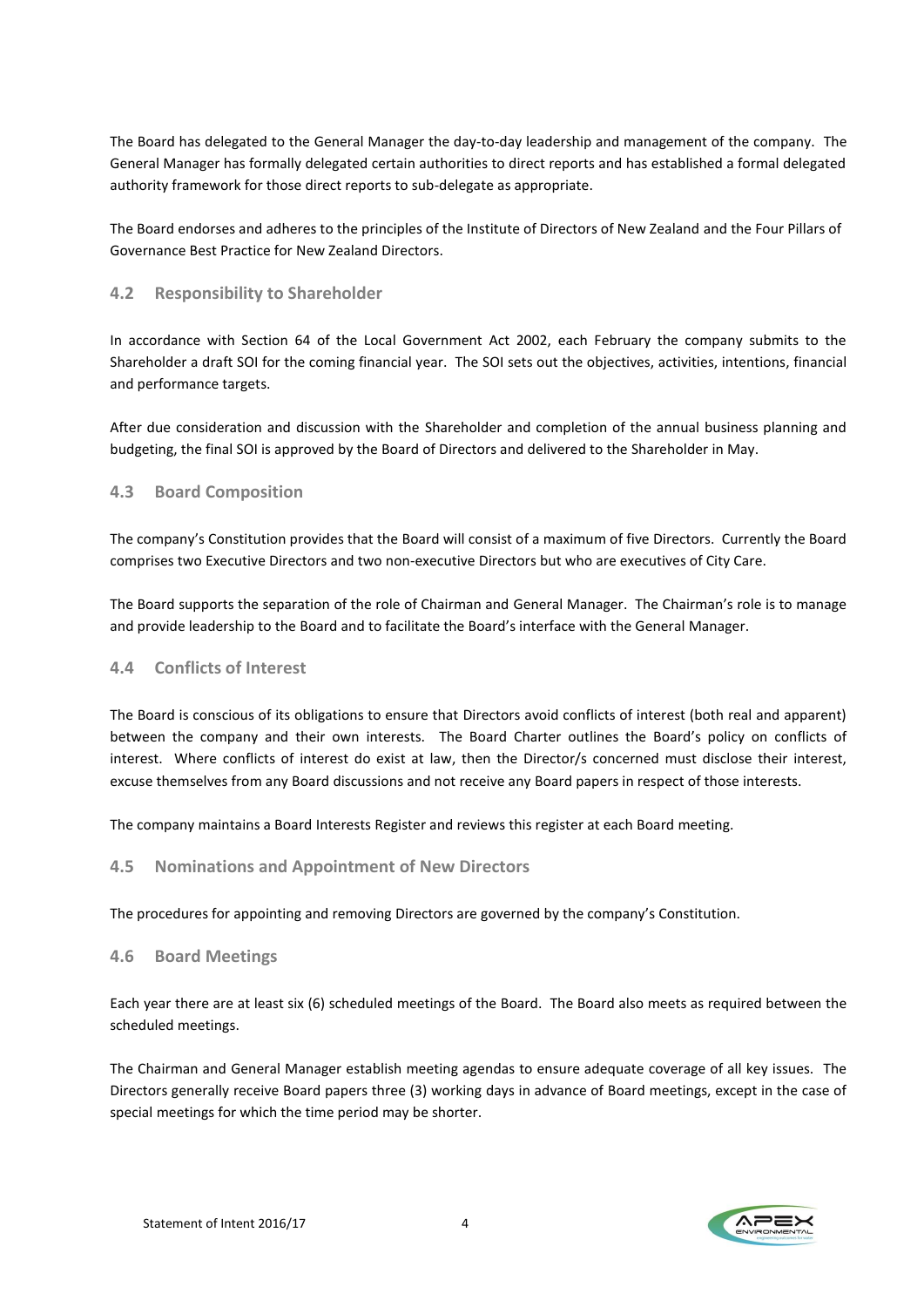The Board has delegated to the General Manager the day-to-day leadership and management of the company. The General Manager has formally delegated certain authorities to direct reports and has established a formal delegated authority framework for those direct reports to sub-delegate as appropriate.

The Board endorses and adheres to the principles of the Institute of Directors of New Zealand and the Four Pillars of Governance Best Practice for New Zealand Directors.

#### <span id="page-4-0"></span>**4.2 Responsibility to Shareholder**

In accordance with Section 64 of the Local Government Act 2002, each February the company submits to the Shareholder a draft SOI for the coming financial year. The SOI sets out the objectives, activities, intentions, financial and performance targets.

After due consideration and discussion with the Shareholder and completion of the annual business planning and budgeting, the final SOI is approved by the Board of Directors and delivered to the Shareholder in May.

#### <span id="page-4-1"></span>**4.3 Board Composition**

The company's Constitution provides that the Board will consist of a maximum of five Directors. Currently the Board comprises two Executive Directors and two non-executive Directors but who are executives of City Care.

The Board supports the separation of the role of Chairman and General Manager. The Chairman's role is to manage and provide leadership to the Board and to facilitate the Board's interface with the General Manager.

#### <span id="page-4-2"></span>**4.4 Conflicts of Interest**

The Board is conscious of its obligations to ensure that Directors avoid conflicts of interest (both real and apparent) between the company and their own interests. The Board Charter outlines the Board's policy on conflicts of interest. Where conflicts of interest do exist at law, then the Director/s concerned must disclose their interest, excuse themselves from any Board discussions and not receive any Board papers in respect of those interests.

<span id="page-4-3"></span>The company maintains a Board Interests Register and reviews this register at each Board meeting.

#### **4.5 Nominations and Appointment of New Directors**

<span id="page-4-4"></span>The procedures for appointing and removing Directors are governed by the company's Constitution.

#### **4.6 Board Meetings**

Each year there are at least six (6) scheduled meetings of the Board. The Board also meets as required between the scheduled meetings.

The Chairman and General Manager establish meeting agendas to ensure adequate coverage of all key issues. The Directors generally receive Board papers three (3) working days in advance of Board meetings, except in the case of special meetings for which the time period may be shorter.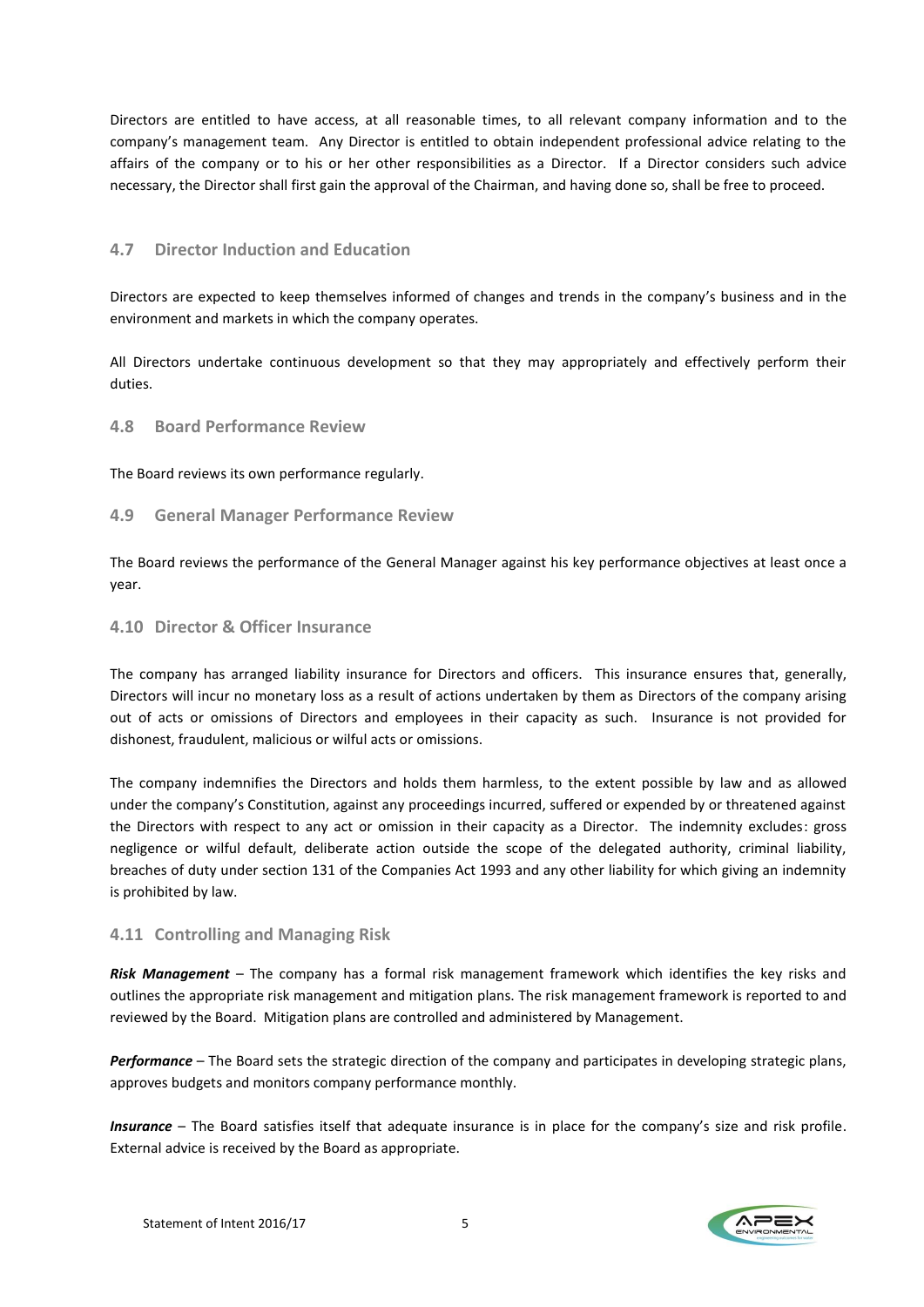Directors are entitled to have access, at all reasonable times, to all relevant company information and to the company's management team. Any Director is entitled to obtain independent professional advice relating to the affairs of the company or to his or her other responsibilities as a Director. If a Director considers such advice necessary, the Director shall first gain the approval of the Chairman, and having done so, shall be free to proceed.

#### <span id="page-5-0"></span>**4.7 Director Induction and Education**

Directors are expected to keep themselves informed of changes and trends in the company's business and in the environment and markets in which the company operates.

All Directors undertake continuous development so that they may appropriately and effectively perform their duties.

#### <span id="page-5-1"></span>**4.8 Board Performance Review**

The Board reviews its own performance regularly.

#### <span id="page-5-2"></span>**4.9 General Manager Performance Review**

The Board reviews the performance of the General Manager against his key performance objectives at least once a year.

#### <span id="page-5-3"></span>**4.10 Director & Officer Insurance**

The company has arranged liability insurance for Directors and officers. This insurance ensures that, generally, Directors will incur no monetary loss as a result of actions undertaken by them as Directors of the company arising out of acts or omissions of Directors and employees in their capacity as such. Insurance is not provided for dishonest, fraudulent, malicious or wilful acts or omissions.

The company indemnifies the Directors and holds them harmless, to the extent possible by law and as allowed under the company's Constitution, against any proceedings incurred, suffered or expended by or threatened against the Directors with respect to any act or omission in their capacity as a Director. The indemnity excludes: gross negligence or wilful default, deliberate action outside the scope of the delegated authority, criminal liability, breaches of duty under section 131 of the Companies Act 1993 and any other liability for which giving an indemnity is prohibited by law.

#### <span id="page-5-4"></span>**4.11 Controlling and Managing Risk**

*Risk Management* – The company has a formal risk management framework which identifies the key risks and outlines the appropriate risk management and mitigation plans. The risk management framework is reported to and reviewed by the Board. Mitigation plans are controlled and administered by Management.

*Performance* – The Board sets the strategic direction of the company and participates in developing strategic plans, approves budgets and monitors company performance monthly.

*Insurance* – The Board satisfies itself that adequate insurance is in place for the company's size and risk profile. External advice is received by the Board as appropriate.

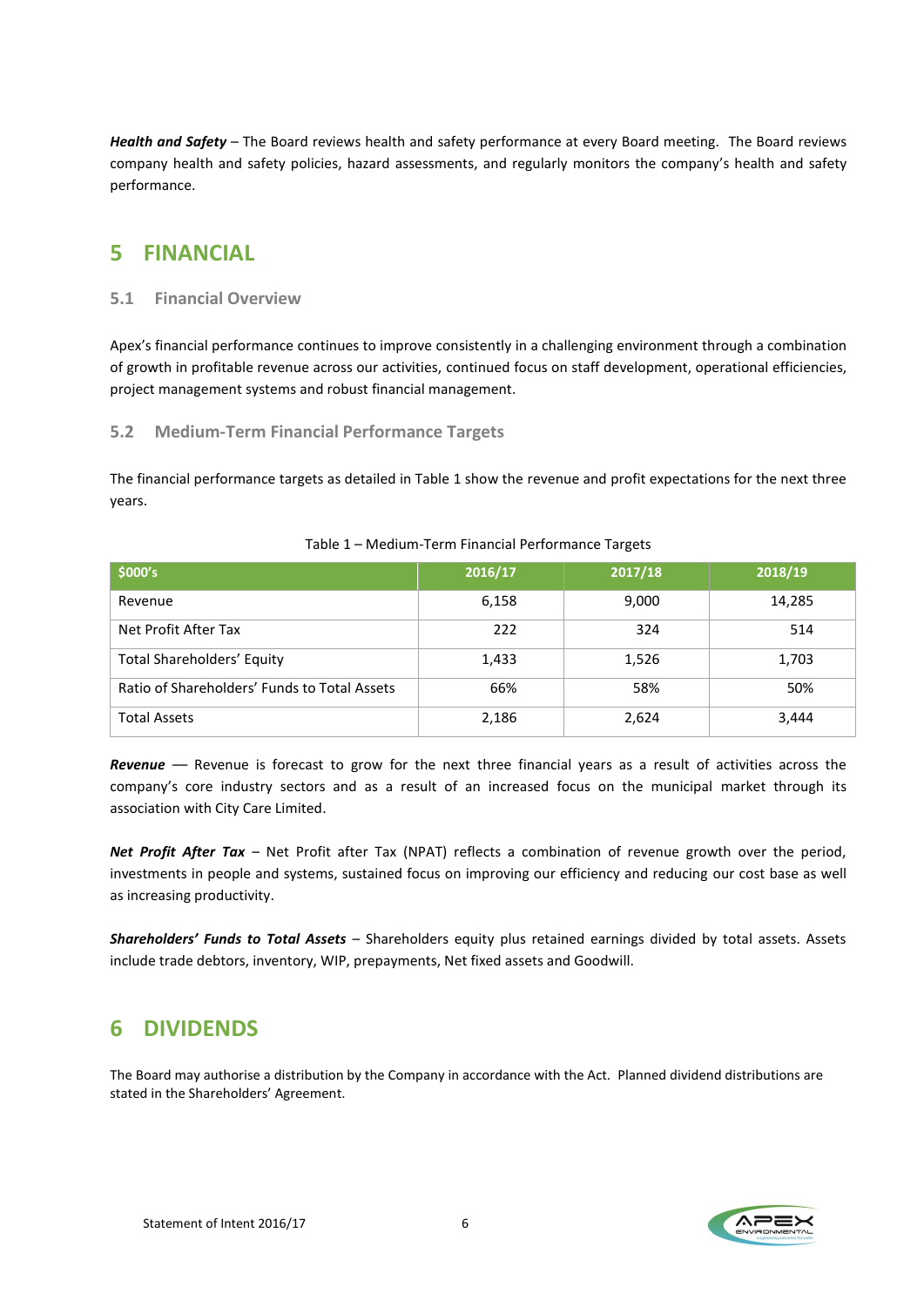*Health and Safety* – The Board reviews health and safety performance at every Board meeting. The Board reviews company health and safety policies, hazard assessments, and regularly monitors the company's health and safety performance.

## <span id="page-6-0"></span>**5 FINANCIAL**

#### <span id="page-6-1"></span>**5.1 Financial Overview**

Apex's financial performance continues to improve consistently in a challenging environment through a combination of growth in profitable revenue across our activities, continued focus on staff development, operational efficiencies, project management systems and robust financial management.

#### <span id="page-6-2"></span>**5.2 Medium-Term Financial Performance Targets**

The financial performance targets as detailed in Table 1 show the revenue and profit expectations for the next three years.

| \$000's                                      | 2016/17 | 2017/18 | 2018/19 |
|----------------------------------------------|---------|---------|---------|
| Revenue                                      | 6,158   | 9,000   | 14,285  |
| Net Profit After Tax                         | 222     | 324     | 514     |
| <b>Total Shareholders' Equity</b>            | 1,433   | 1,526   | 1,703   |
| Ratio of Shareholders' Funds to Total Assets | 66%     | 58%     | 50%     |
| <b>Total Assets</b>                          | 2,186   | 2,624   | 3,444   |

#### Table 1 – Medium-Term Financial Performance Targets

*Revenue* –– Revenue is forecast to grow for the next three financial years as a result of activities across the company's core industry sectors and as a result of an increased focus on the municipal market through its association with City Care Limited.

*Net Profit After Tax* – Net Profit after Tax (NPAT) reflects a combination of revenue growth over the period, investments in people and systems, sustained focus on improving our efficiency and reducing our cost base as well as increasing productivity.

*Shareholders' Funds to Total Assets* – Shareholders equity plus retained earnings divided by total assets. Assets include trade debtors, inventory, WIP, prepayments, Net fixed assets and Goodwill.

# <span id="page-6-3"></span>**6 DIVIDENDS**

The Board may authorise a distribution by the Company in accordance with the Act. Planned dividend distributions are stated in the Shareholders' Agreement.

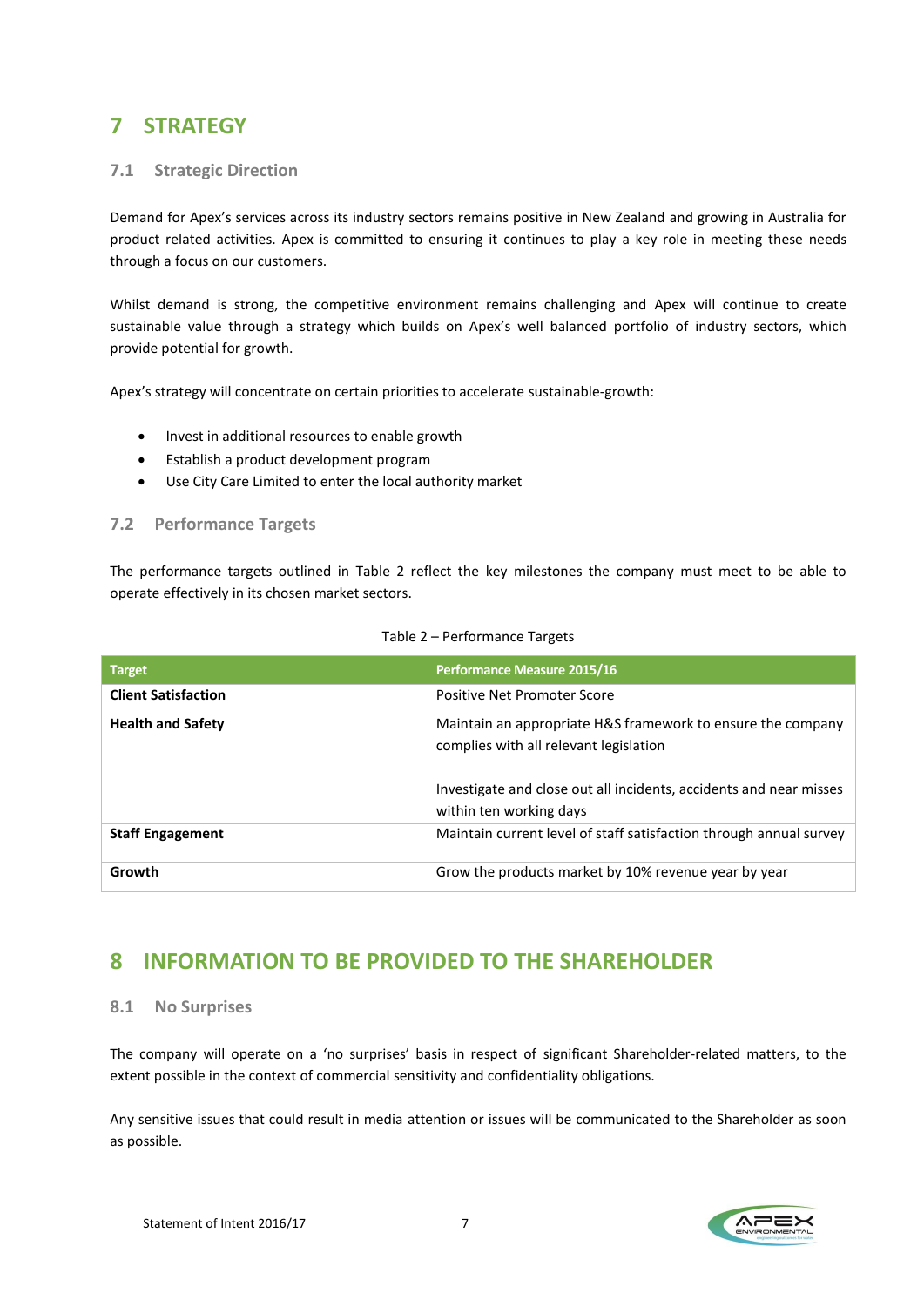# <span id="page-7-0"></span>**7 STRATEGY**

#### <span id="page-7-1"></span>**7.1 Strategic Direction**

Demand for Apex's services across its industry sectors remains positive in New Zealand and growing in Australia for product related activities. Apex is committed to ensuring it continues to play a key role in meeting these needs through a focus on our customers.

Whilst demand is strong, the competitive environment remains challenging and Apex will continue to create sustainable value through a strategy which builds on Apex's well balanced portfolio of industry sectors, which provide potential for growth.

Apex's strategy will concentrate on certain priorities to accelerate sustainable-growth:

- Invest in additional resources to enable growth
- Establish a product development program
- Use City Care Limited to enter the local authority market

#### <span id="page-7-2"></span>**7.2 Performance Targets**

The performance targets outlined in Table 2 reflect the key milestones the company must meet to be able to operate effectively in its chosen market sectors.

| <b>Target</b>              | Performance Measure 2015/16                                                                                                                                                                            |
|----------------------------|--------------------------------------------------------------------------------------------------------------------------------------------------------------------------------------------------------|
| <b>Client Satisfaction</b> | Positive Net Promoter Score                                                                                                                                                                            |
| <b>Health and Safety</b>   | Maintain an appropriate H&S framework to ensure the company<br>complies with all relevant legislation<br>Investigate and close out all incidents, accidents and near misses<br>within ten working days |
| <b>Staff Engagement</b>    | Maintain current level of staff satisfaction through annual survey                                                                                                                                     |
| Growth                     | Grow the products market by 10% revenue year by year                                                                                                                                                   |

#### Table 2 – Performance Targets

## <span id="page-7-3"></span>**8 INFORMATION TO BE PROVIDED TO THE SHAREHOLDER**

#### <span id="page-7-4"></span>**8.1 No Surprises**

The company will operate on a 'no surprises' basis in respect of significant Shareholder-related matters, to the extent possible in the context of commercial sensitivity and confidentiality obligations.

Any sensitive issues that could result in media attention or issues will be communicated to the Shareholder as soon as possible.